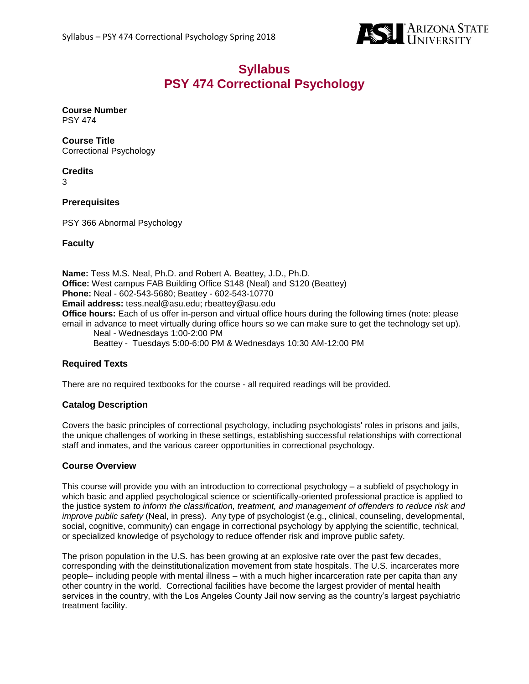

# **Syllabus PSY 474 Correctional Psychology**

#### **Course Number** PSY 474

**Course Title** Correctional Psychology

## **Credits**

3

### **Prerequisites**

PSY 366 Abnormal Psychology

#### **Faculty**

**Name:** Tess M.S. Neal, Ph.D. and Robert A. Beattey, J.D., Ph.D. **Office:** West campus FAB Building Office S148 (Neal) and S120 (Beattey) **Phone:** Neal - 602-543-5680; Beattey - 602-543-10770 **Email address:** tess.neal@asu.edu; rbeattey@asu.edu **Office hours:** Each of us offer in-person and virtual office hours during the following times (note: please email in advance to meet virtually during office hours so we can make sure to get the technology set up). Neal - Wednesdays 1:00-2:00 PM Beattey - Tuesdays 5:00-6:00 PM & Wednesdays 10:30 AM-12:00 PM

### **Required Texts**

There are no required textbooks for the course - all required readings will be provided.

#### **Catalog Description**

Covers the basic principles of correctional psychology, including psychologists' roles in prisons and jails, the unique challenges of working in these settings, establishing successful relationships with correctional staff and inmates, and the various career opportunities in correctional psychology.

#### **Course Overview**

This course will provide you with an introduction to correctional psychology – a subfield of psychology in which basic and applied psychological science or scientifically-oriented professional practice is applied to the justice system *to inform the classification, treatment, and management of offenders to reduce risk and improve public safety* (Neal, in press). Any type of psychologist (e.g., clinical, counseling, developmental, social, cognitive, community) can engage in correctional psychology by applying the scientific, technical, or specialized knowledge of psychology to reduce offender risk and improve public safety.

The prison population in the U.S. has been growing at an explosive rate over the past few decades, corresponding with the deinstitutionalization movement from state hospitals. The U.S. incarcerates more people– including people with mental illness – with a much higher incarceration rate per capita than any other country in the world. Correctional facilities have become the largest provider of mental health services in the country, with the Los Angeles County Jail now serving as the country's largest psychiatric treatment facility.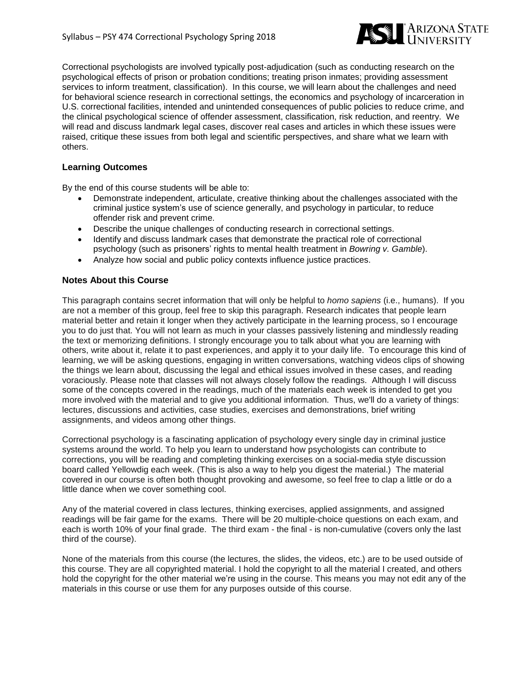

Correctional psychologists are involved typically post-adjudication (such as conducting research on the psychological effects of prison or probation conditions; treating prison inmates; providing assessment services to inform treatment, classification). In this course, we will learn about the challenges and need for behavioral science research in correctional settings, the economics and psychology of incarceration in U.S. correctional facilities, intended and unintended consequences of public policies to reduce crime, and the clinical psychological science of offender assessment, classification, risk reduction, and reentry. We will read and discuss landmark legal cases, discover real cases and articles in which these issues were raised, critique these issues from both legal and scientific perspectives, and share what we learn with others.

#### **Learning Outcomes**

By the end of this course students will be able to:

- Demonstrate independent, articulate, creative thinking about the challenges associated with the criminal justice system's use of science generally, and psychology in particular, to reduce offender risk and prevent crime.
- Describe the unique challenges of conducting research in correctional settings.
- Identify and discuss landmark cases that demonstrate the practical role of correctional psychology (such as prisoners' rights to mental health treatment in *Bowring v. Gamble*).
- Analyze how social and public policy contexts influence justice practices.

#### **Notes About this Course**

This paragraph contains secret information that will only be helpful to *homo sapiens* (i.e., humans). If you are not a member of this group, feel free to skip this paragraph. Research indicates that people learn material better and retain it longer when they actively participate in the learning process, so I encourage you to do just that. You will not learn as much in your classes passively listening and mindlessly reading the text or memorizing definitions. I strongly encourage you to talk about what you are learning with others, write about it, relate it to past experiences, and apply it to your daily life. To encourage this kind of learning, we will be asking questions, engaging in written conversations, watching videos clips of showing the things we learn about, discussing the legal and ethical issues involved in these cases, and reading voraciously. Please note that classes will not always closely follow the readings. Although I will discuss some of the concepts covered in the readings, much of the materials each week is intended to get you more involved with the material and to give you additional information. Thus, we'll do a variety of things: lectures, discussions and activities, case studies, exercises and demonstrations, brief writing assignments, and videos among other things.

Correctional psychology is a fascinating application of psychology every single day in criminal justice systems around the world. To help you learn to understand how psychologists can contribute to corrections, you will be reading and completing thinking exercises on a social-media style discussion board called Yellowdig each week. (This is also a way to help you digest the material.) The material covered in our course is often both thought provoking and awesome, so feel free to clap a little or do a little dance when we cover something cool.

Any of the material covered in class lectures, thinking exercises, applied assignments, and assigned readings will be fair game for the exams. There will be 20 multiple-choice questions on each exam, and each is worth 10% of your final grade. The third exam - the final - is non-cumulative (covers only the last third of the course).

None of the materials from this course (the lectures, the slides, the videos, etc.) are to be used outside of this course. They are all copyrighted material. I hold the copyright to all the material I created, and others hold the copyright for the other material we're using in the course. This means you may not edit any of the materials in this course or use them for any purposes outside of this course.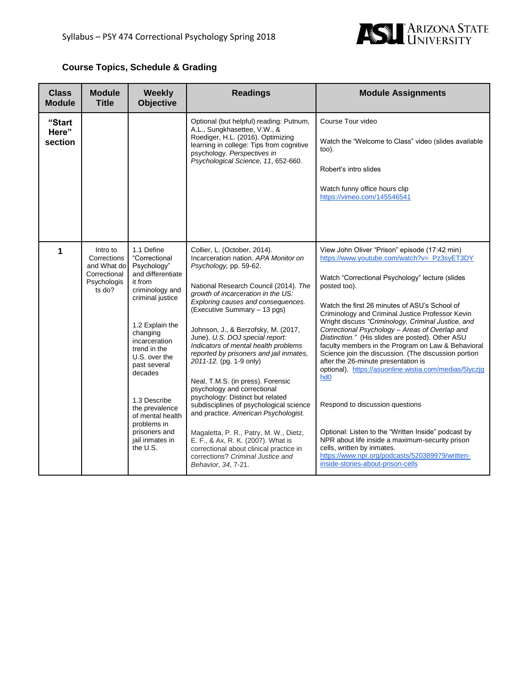

## **Course Topics, Schedule & Grading**

| <b>Class</b><br><b>Module</b> | <b>Module</b><br><b>Title</b>                                                   | <b>Weekly</b><br><b>Objective</b>                                                                                                                                                                                                                                                                                                                  | <b>Readings</b>                                                                                                                                                                                                                                                                                                                                                                                                                                                                                                                                                                                                                                                                                                                                                                                                               | <b>Module Assignments</b>                                                                                                                                                                                                                                                                                                                                                                                                                                                                                                                                                                                                                                                                                                                                                                                                                                                                                                             |
|-------------------------------|---------------------------------------------------------------------------------|----------------------------------------------------------------------------------------------------------------------------------------------------------------------------------------------------------------------------------------------------------------------------------------------------------------------------------------------------|-------------------------------------------------------------------------------------------------------------------------------------------------------------------------------------------------------------------------------------------------------------------------------------------------------------------------------------------------------------------------------------------------------------------------------------------------------------------------------------------------------------------------------------------------------------------------------------------------------------------------------------------------------------------------------------------------------------------------------------------------------------------------------------------------------------------------------|---------------------------------------------------------------------------------------------------------------------------------------------------------------------------------------------------------------------------------------------------------------------------------------------------------------------------------------------------------------------------------------------------------------------------------------------------------------------------------------------------------------------------------------------------------------------------------------------------------------------------------------------------------------------------------------------------------------------------------------------------------------------------------------------------------------------------------------------------------------------------------------------------------------------------------------|
| "Start<br>Here"<br>section    |                                                                                 |                                                                                                                                                                                                                                                                                                                                                    | Optional (but helpful) reading: Putnum,<br>A.L., Sungkhasettee, V.W., &<br>Roediger, H.L. (2016). Optimizing<br>learning in college: Tips from cognitive<br>psychology. Perspectives in<br>Psychological Science, 11, 652-660.                                                                                                                                                                                                                                                                                                                                                                                                                                                                                                                                                                                                | Course Tour video<br>Watch the "Welcome to Class" video (slides available<br>too).<br>Robert's intro slides<br>Watch funny office hours clip<br>https://vimeo.com/145546541                                                                                                                                                                                                                                                                                                                                                                                                                                                                                                                                                                                                                                                                                                                                                           |
| 1                             | Intro to<br>Corrections<br>and What do<br>Correctional<br>Psychologis<br>ts do? | 1.1 Define<br>"Correctional<br>Psychology"<br>and differentiate<br>it from<br>criminology and<br>criminal justice<br>1.2 Explain the<br>changing<br>incarceration<br>trend in the<br>U.S. over the<br>past several<br>decades<br>1.3 Describe<br>the prevalence<br>of mental health<br>problems in<br>prisoners and<br>jail inmates in<br>the U.S. | Collier, L. (October, 2014).<br>Incarceration nation. APA Monitor on<br>Psychology, pp. 59-62.<br>National Research Council (2014). The<br>growth of incarceration in the US:<br>Exploring causes and consequences.<br>(Executive Summary - 13 pgs)<br>Johnson, J., & Berzofsky, M. (2017,<br>June). U.S. DOJ special report:<br>Indicators of mental health problems<br>reported by prisoners and jail inmates,<br>2011-12. (pg. 1-9 only)<br>Neal, T.M.S. (in press). Forensic<br>psychology and correctional<br>psychology: Distinct but related<br>subdisciplines of psychological science<br>and practice. American Psychologist.<br>Magaletta, P. R., Patry, M. W., Dietz,<br>E. F., & Ax, R. K. (2007). What is<br>correctional about clinical practice in<br>corrections? Criminal Justice and<br>Behavior, 34, 7-21. | View John Oliver "Prison" episode (17:42 min)<br>https://www.youtube.com/watch?v=_Pz3syET3DY<br>Watch "Correctional Psychology" lecture (slides<br>posted too).<br>Watch the first 26 minutes of ASU's School of<br>Criminology and Criminal Justice Professor Kevin<br>Wright discuss "Criminology, Criminal Justice, and<br>Correctional Psychology - Areas of Overlap and<br>Distinction." (His slides are posted). Other ASU<br>faculty members in the Program on Law & Behavioral<br>Science join the discussion. (The discussion portion<br>after the 26-minute presentation is<br>optional). https://asuonline.wistia.com/medias/5lyczjq<br>hd <sub>0</sub><br>Respond to discussion questions<br>Optional: Listen to the "Written Inside" podcast by<br>NPR about life inside a maximum-security prison<br>cells, written by inmates.<br>https://www.npr.org/podcasts/520389979/written-<br>inside-stories-about-prison-cells |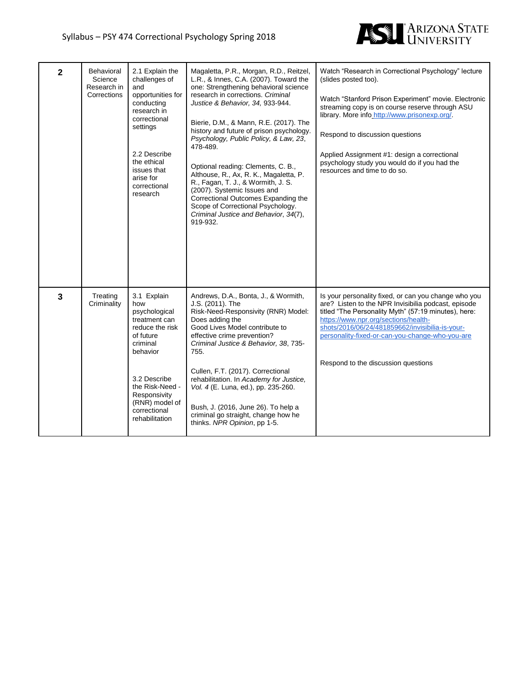

| $\mathbf{2}$ | <b>Behavioral</b><br>Science<br>Research in<br>Corrections | 2.1 Explain the<br>challenges of<br>and<br>opportunities for<br>conducting<br>research in<br>correctional<br>settings<br>2.2 Describe<br>the ethical<br>issues that<br>arise for<br>correctional<br>research        | Magaletta, P.R., Morgan, R.D., Reitzel,<br>L.R., & Innes, C.A. (2007). Toward the<br>one: Strengthening behavioral science<br>research in corrections. Criminal<br>Justice & Behavior, 34, 933-944.<br>Bierie, D.M., & Mann, R.E. (2017). The<br>history and future of prison psychology.<br>Psychology, Public Policy, & Law, 23,<br>478-489.<br>Optional reading: Clements, C. B.,<br>Althouse, R., Ax, R. K., Magaletta, P.<br>R., Fagan, T. J., & Wormith, J. S.<br>(2007). Systemic Issues and<br>Correctional Outcomes Expanding the<br>Scope of Correctional Psychology.<br>Criminal Justice and Behavior, 34(7),<br>919-932. | Watch "Research in Correctional Psychology" lecture<br>(slides posted too).<br>Watch "Stanford Prison Experiment" movie. Electronic<br>streaming copy is on course reserve through ASU<br>library. More info http://www.prisonexp.org/.<br>Respond to discussion questions<br>Applied Assignment #1: design a correctional<br>psychology study you would do if you had the<br>resources and time to do so. |
|--------------|------------------------------------------------------------|---------------------------------------------------------------------------------------------------------------------------------------------------------------------------------------------------------------------|--------------------------------------------------------------------------------------------------------------------------------------------------------------------------------------------------------------------------------------------------------------------------------------------------------------------------------------------------------------------------------------------------------------------------------------------------------------------------------------------------------------------------------------------------------------------------------------------------------------------------------------|------------------------------------------------------------------------------------------------------------------------------------------------------------------------------------------------------------------------------------------------------------------------------------------------------------------------------------------------------------------------------------------------------------|
| $\mathbf{3}$ | Treating<br>Criminality                                    | 3.1 Explain<br>how<br>psychological<br>treatment can<br>reduce the risk<br>of future<br>criminal<br>behavior<br>3.2 Describe<br>the Risk-Need -<br>Responsivity<br>(RNR) model of<br>correctional<br>rehabilitation | Andrews, D.A., Bonta, J., & Wormith,<br>J.S. (2011). The<br>Risk-Need-Responsivity (RNR) Model:<br>Does adding the<br>Good Lives Model contribute to<br>effective crime prevention?<br>Criminal Justice & Behavior, 38, 735-<br>755.<br>Cullen, F.T. (2017). Correctional<br>rehabilitation. In Academy for Justice,<br>Vol. 4 (E. Luna, ed.), pp. 235-260.<br>Bush, J. (2016, June 26). To help a<br>criminal go straight, change how he<br>thinks. NPR Opinion, pp 1-5.                                                                                                                                                            | Is your personality fixed, or can you change who you<br>are? Listen to the NPR Invisibilia podcast, episode<br>titled "The Personality Myth" (57:19 minutes), here:<br>https://www.npr.org/sections/health-<br>shots/2016/06/24/481859662/invisibilia-is-your-<br>personality-fixed-or-can-you-change-who-you-are<br>Respond to the discussion questions                                                   |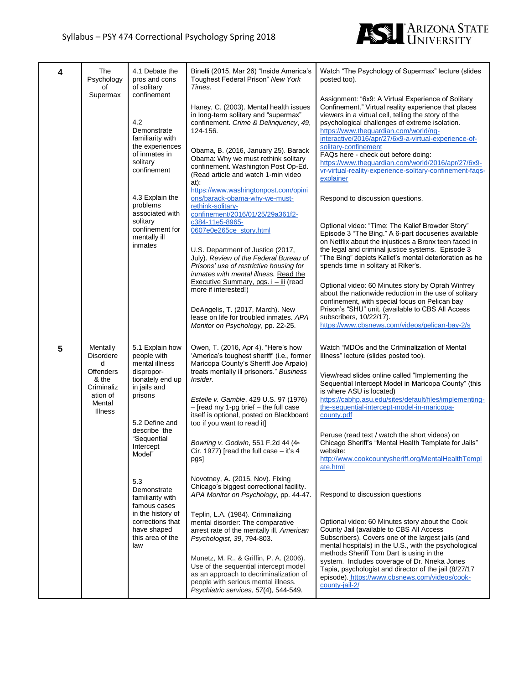

| 4 | The<br>Psychology<br>of<br>Supermax                                                                                  | 4.1 Debate the<br>pros and cons<br>of solitary<br>confinement<br>4.2<br>Demonstrate<br>familiarity with<br>the experiences<br>of inmates in<br>solitary<br>confinement<br>4.3 Explain the<br>problems<br>associated with<br>solitary<br>confinement for<br>mentally ill<br>inmates                                                 | Binelli (2015, Mar 26) "Inside America's<br>Toughest Federal Prison" New York<br>Times.<br>Haney, C. (2003). Mental health issues<br>in long-term solitary and "supermax"<br>confinement. Crime & Delinquency, 49,<br>124-156.<br>Obama, B. (2016, January 25). Barack<br>Obama: Why we must rethink solitary<br>confinement. Washington Post Op-Ed.<br>(Read article and watch 1-min video<br>at):<br>https://www.washingtonpost.com/opini<br>ons/barack-obama-why-we-must-<br>rethink-solitary-<br>confinement/2016/01/25/29a361f2-<br>c384-11e5-8965-<br>0607e0e265ce_story.html<br>U.S. Department of Justice (2017,<br>July). Review of the Federal Bureau of<br>Prisons' use of restrictive housing for<br>inmates with mental illness. Read the<br>Executive Summary, pgs. i - iii (read<br>more if interested!)<br>DeAngelis, T. (2017, March). New<br>lease on life for troubled inmates. APA<br>Monitor on Psychology, pp. 22-25.             | Watch "The Psychology of Supermax" lecture (slides<br>posted too).<br>Assignment: "6x9: A Virtual Experience of Solitary<br>Confinement." Virtual reality experience that places<br>viewers in a virtual cell, telling the story of the<br>psychological challenges of extreme isolation.<br>https://www.theguardian.com/world/ng-<br>interactive/2016/apr/27/6x9-a-virtual-experience-of-<br>solitary-confinement<br>FAQs here - check out before doing:<br>https://www.theguardian.com/world/2016/apr/27/6x9-<br>vr-virtual-reality-experience-solitary-confinement-faqs-<br>explainer<br>Respond to discussion questions.<br>Optional video: "Time: The Kalief Browder Story"<br>Episode 3 "The Bing." A 6-part docuseries available<br>on Netflix about the injustices a Bronx teen faced in<br>the legal and criminal justice systems. Episode 3<br>"The Bing" depicts Kalief's mental deterioration as he<br>spends time in solitary at Riker's.<br>Optional video: 60 Minutes story by Oprah Winfrey<br>about the nationwide reduction in the use of solitary<br>confinement, with special focus on Pelican bay<br>Prison's "SHU" unit. (available to CBS All Access<br>subscribers, 10/22/17).<br>https://www.cbsnews.com/videos/pelican-bay-2/s |
|---|----------------------------------------------------------------------------------------------------------------------|------------------------------------------------------------------------------------------------------------------------------------------------------------------------------------------------------------------------------------------------------------------------------------------------------------------------------------|---------------------------------------------------------------------------------------------------------------------------------------------------------------------------------------------------------------------------------------------------------------------------------------------------------------------------------------------------------------------------------------------------------------------------------------------------------------------------------------------------------------------------------------------------------------------------------------------------------------------------------------------------------------------------------------------------------------------------------------------------------------------------------------------------------------------------------------------------------------------------------------------------------------------------------------------------------|----------------------------------------------------------------------------------------------------------------------------------------------------------------------------------------------------------------------------------------------------------------------------------------------------------------------------------------------------------------------------------------------------------------------------------------------------------------------------------------------------------------------------------------------------------------------------------------------------------------------------------------------------------------------------------------------------------------------------------------------------------------------------------------------------------------------------------------------------------------------------------------------------------------------------------------------------------------------------------------------------------------------------------------------------------------------------------------------------------------------------------------------------------------------------------------------------------------------------------------------------------|
| 5 | Mentally<br><b>Disordere</b><br>d<br><b>Offenders</b><br>& the<br>Criminaliz<br>ation of<br>Mental<br><b>Illness</b> | 5.1 Explain how<br>people with<br>mental illness<br>dispropor-<br>tionately end up<br>in jails and<br>prisons<br>5.2 Define and<br>describe the<br>"Sequential<br>Intercept<br>Model"<br>5.3<br>Demonstrate<br>familiarity with<br>famous cases<br>in the history of<br>corrections that<br>have shaped<br>this area of the<br>law | Owen, T. (2016, Apr 4). "Here's how<br>'America's toughest sheriff' (i.e., former<br>Maricopa County's Sheriff Joe Arpaio)<br>treats mentally ill prisoners." Business<br>Insider.<br>Estelle v. Gamble, 429 U.S. 97 (1976)<br>$-$ [read my 1-pg brief $-$ the full case<br>itself is optional, posted on Blackboard<br>too if you want to read it]<br>Bowring v. Godwin, 551 F.2d 44 (4 <sup>th</sup><br>Cir. 19//) [read the full case $-$ it's 4<br>pgs]<br>Novotney, A. (2015, Nov). Fixing<br>Chicago's biggest correctional facility.<br>APA Monitor on Psychology, pp. 44-47.<br>Teplin, L.A. (1984). Criminalizing<br>mental disorder: The comparative<br>arrest rate of the mentally ill. American<br>Psychologist, 39, 794-803.<br>Munetz, M. R., & Griffin, P. A. (2006).<br>Use of the sequential intercept model<br>as an approach to decriminalization of<br>people with serious mental illness.<br>Psychiatric services, 57(4), 544-549. | Watch "MDOs and the Criminalization of Mental<br>Illness" lecture (slides posted too).<br>View/read slides online called "Implementing the<br>Sequential Intercept Model in Maricopa County" (this<br>is where ASU is located)<br>https://cabhp.asu.edu/sites/default/files/implementing-<br>the-sequential-intercept-model-in-maricopa-<br>county.pdf<br>Peruse (read text / watch the short videos) on<br>Chicago Sheriff's "Mental Health Template for Jails"<br>website:<br>http://www.cookcountysheriff.org/MentalHealthTempl<br>ate.html<br>Respond to discussion questions<br>Optional video: 60 Minutes story about the Cook<br>County Jail (available to CBS All Access<br>Subscribers). Covers one of the largest jails (and<br>mental hospitals) in the U.S., with the psychological<br>methods Sheriff Tom Dart is using in the<br>system. Includes coverage of Dr. Nneka Jones<br>Tapia, psychologist and director of the jail (8/27/17<br>episode). https://www.cbsnews.com/videos/cook-<br>county-jail-2/                                                                                                                                                                                                                                 |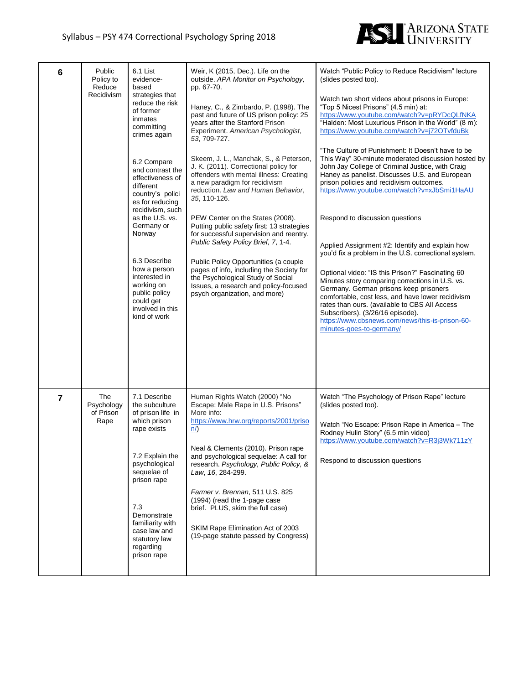

| 6              | Public<br>Policy to<br>Reduce<br>Recidivism | 6.1 List<br>evidence-<br>based<br>strategies that<br>reduce the risk<br>of former<br>inmates<br>committing<br>crimes again<br>6.2 Compare<br>and contrast the<br>effectiveness of<br>different<br>country's polici<br>es for reducing<br>recidivism, such<br>as the U.S. vs.<br>Germany or<br>Norway<br>6.3 Describe<br>how a person<br>interested in<br>working on<br>public policy<br>could get<br>involved in this<br>kind of work | Weir, K (2015, Dec.). Life on the<br>outside. APA Monitor on Psychology,<br>pp. 67-70.<br>Haney, C., & Zimbardo, P. (1998). The<br>past and future of US prison policy: 25<br>years after the Stanford Prison<br>Experiment. American Psychologist,<br>53, 709-727.<br>Skeem, J. L., Manchak, S., & Peterson,<br>J. K. (2011). Correctional policy for<br>offenders with mental illness: Creating<br>a new paradigm for recidivism<br>reduction. Law and Human Behavior,<br>35, 110-126.<br>PEW Center on the States (2008).<br>Putting public safety first: 13 strategies<br>for successful supervision and reentry.<br>Public Safety Policy Brief, 7, 1-4.<br>Public Policy Opportunities (a couple<br>pages of info, including the Society for<br>the Psychological Study of Social<br>Issues, a research and policy-focused<br>psych organization, and more) | Watch "Public Policy to Reduce Recidivism" lecture<br>(slides posted too).<br>Watch two short videos about prisons in Europe:<br>"Top 5 Nicest Prisons" (4.5 min) at:<br>https://www.youtube.com/watch?v=pRYDcQLfNKA<br>"Halden: Most Luxurious Prison in the World" (8 m):<br>https://www.youtube.com/watch?v=j72OTvfduBk<br>"The Culture of Punishment: It Doesn't have to be<br>This Way" 30-minute moderated discussion hosted by<br>John Jay College of Criminal Justice, with Craig<br>Haney as panelist. Discusses U.S. and European<br>prison policies and recidivism outcomes.<br>https://www.youtube.com/watch?v=xJbSmi1HaAU<br>Respond to discussion questions<br>Applied Assignment #2: Identify and explain how<br>you'd fix a problem in the U.S. correctional system.<br>Optional video: "IS this Prison?" Fascinating 60<br>Minutes story comparing corrections in U.S. vs.<br>Germany. German prisons keep prisoners<br>comfortable, cost less, and have lower recidivism<br>rates than ours. (available to CBS All Access<br>Subscribers). (3/26/16 episode).<br>https://www.cbsnews.com/news/this-is-prison-60-<br>minutes-goes-to-germany/ |
|----------------|---------------------------------------------|---------------------------------------------------------------------------------------------------------------------------------------------------------------------------------------------------------------------------------------------------------------------------------------------------------------------------------------------------------------------------------------------------------------------------------------|------------------------------------------------------------------------------------------------------------------------------------------------------------------------------------------------------------------------------------------------------------------------------------------------------------------------------------------------------------------------------------------------------------------------------------------------------------------------------------------------------------------------------------------------------------------------------------------------------------------------------------------------------------------------------------------------------------------------------------------------------------------------------------------------------------------------------------------------------------------|----------------------------------------------------------------------------------------------------------------------------------------------------------------------------------------------------------------------------------------------------------------------------------------------------------------------------------------------------------------------------------------------------------------------------------------------------------------------------------------------------------------------------------------------------------------------------------------------------------------------------------------------------------------------------------------------------------------------------------------------------------------------------------------------------------------------------------------------------------------------------------------------------------------------------------------------------------------------------------------------------------------------------------------------------------------------------------------------------------------------------------------------------------------|
| $\overline{7}$ | The<br>Psychology<br>of Prison<br>Rape      | 7.1 Describe<br>the subculture<br>of prison life in<br>which prison<br>rape exists<br>7.2 Explain the<br>psychological<br>sequelae of<br>prison rape<br>7.3<br>Demonstrate<br>familiarity with<br>case law and<br>statutory law<br>regarding<br>prison rape                                                                                                                                                                           | Human Rights Watch (2000) "No<br>Escape: Male Rape in U.S. Prisons"<br>More info:<br>https://www.hrw.org/reports/2001/priso<br>n/<br>Neal & Clements (2010). Prison rape<br>and psychological sequelae: A call for<br>research. Psychology, Public Policy, &<br>Law, 16, 284-299.<br>Farmer v. Brennan, 511 U.S. 825<br>(1994) (read the 1-page case<br>brief. PLUS, skim the full case)<br>SKIM Rape Elimination Act of 2003<br>(19-page statute passed by Congress)                                                                                                                                                                                                                                                                                                                                                                                            | Watch "The Psychology of Prison Rape" lecture<br>(slides posted too).<br>Watch "No Escape: Prison Rape in America - The<br>Rodney Hulin Story" (6.5 min video)<br>https://www.youtube.com/watch?v=R3j3Wk711zY<br>Respond to discussion questions                                                                                                                                                                                                                                                                                                                                                                                                                                                                                                                                                                                                                                                                                                                                                                                                                                                                                                               |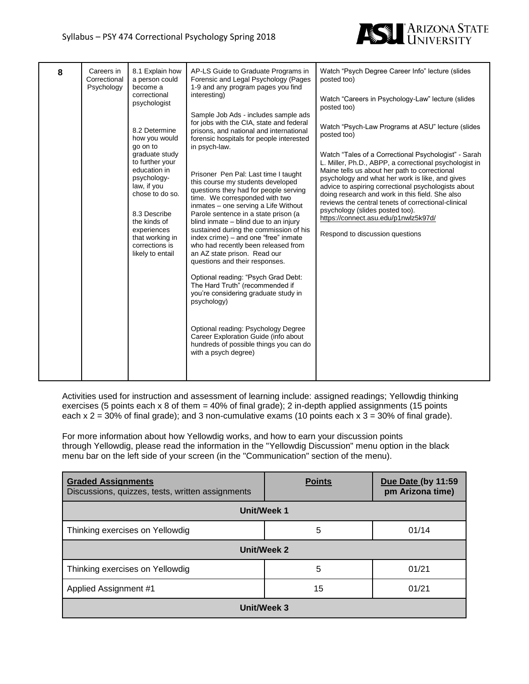

| 8 | Careers in<br>Correctional<br>Psychology | 8.1 Explain how<br>a person could<br>become a<br>correctional<br>psychologist<br>8.2 Determine<br>how you would<br>go on to<br>graduate study<br>to further your<br>education in<br>psychology-<br>law, if you<br>chose to do so.<br>8.3 Describe<br>the kinds of<br>experiences<br>that working in<br>corrections is<br>likely to entail | AP-LS Guide to Graduate Programs in<br>Forensic and Legal Psychology (Pages<br>1-9 and any program pages you find<br>interesting)<br>Sample Job Ads - includes sample ads<br>for jobs with the CIA, state and federal<br>prisons, and national and international<br>forensic hospitals for people interested<br>in psych-law.<br>Prisoner Pen Pal: Last time I taught<br>this course my students developed<br>questions they had for people serving<br>time. We corresponded with two<br>inmates - one serving a Life Without<br>Parole sentence in a state prison (a<br>blind inmate - blind due to an injury<br>sustained during the commission of his<br>index crime) - and one "free" inmate<br>who had recently been released from<br>an AZ state prison. Read our<br>questions and their responses.<br>Optional reading: "Psych Grad Debt:<br>The Hard Truth" (recommended if<br>you're considering graduate study in<br>psychology)<br>Optional reading: Psychology Degree<br>Career Exploration Guide (info about<br>hundreds of possible things you can do<br>with a psych degree) | Watch "Psych Degree Career Info" lecture (slides<br>posted too)<br>Watch "Careers in Psychology-Law" lecture (slides<br>posted too)<br>Watch "Psych-Law Programs at ASU" lecture (slides<br>posted too)<br>Watch "Tales of a Correctional Psychologist" - Sarah<br>L. Miller, Ph.D., ABPP, a correctional psychologist in<br>Maine tells us about her path to correctional<br>psychology and what her work is like, and gives<br>advice to aspiring correctional psychologists about<br>doing research and work in this field. She also<br>reviews the central tenets of correctional-clinical<br>psychology (slides posted too).<br>https://connect.asu.edu/p1nwlz5k97d/<br>Respond to discussion questions |
|---|------------------------------------------|-------------------------------------------------------------------------------------------------------------------------------------------------------------------------------------------------------------------------------------------------------------------------------------------------------------------------------------------|---------------------------------------------------------------------------------------------------------------------------------------------------------------------------------------------------------------------------------------------------------------------------------------------------------------------------------------------------------------------------------------------------------------------------------------------------------------------------------------------------------------------------------------------------------------------------------------------------------------------------------------------------------------------------------------------------------------------------------------------------------------------------------------------------------------------------------------------------------------------------------------------------------------------------------------------------------------------------------------------------------------------------------------------------------------------------------------------|--------------------------------------------------------------------------------------------------------------------------------------------------------------------------------------------------------------------------------------------------------------------------------------------------------------------------------------------------------------------------------------------------------------------------------------------------------------------------------------------------------------------------------------------------------------------------------------------------------------------------------------------------------------------------------------------------------------|
|---|------------------------------------------|-------------------------------------------------------------------------------------------------------------------------------------------------------------------------------------------------------------------------------------------------------------------------------------------------------------------------------------------|---------------------------------------------------------------------------------------------------------------------------------------------------------------------------------------------------------------------------------------------------------------------------------------------------------------------------------------------------------------------------------------------------------------------------------------------------------------------------------------------------------------------------------------------------------------------------------------------------------------------------------------------------------------------------------------------------------------------------------------------------------------------------------------------------------------------------------------------------------------------------------------------------------------------------------------------------------------------------------------------------------------------------------------------------------------------------------------------|--------------------------------------------------------------------------------------------------------------------------------------------------------------------------------------------------------------------------------------------------------------------------------------------------------------------------------------------------------------------------------------------------------------------------------------------------------------------------------------------------------------------------------------------------------------------------------------------------------------------------------------------------------------------------------------------------------------|

Activities used for instruction and assessment of learning include: assigned readings; Yellowdig thinking exercises (5 points each x 8 of them = 40% of final grade); 2 in-depth applied assignments (15 points each  $x$  2 = 30% of final grade); and 3 non-cumulative exams (10 points each  $x$  3 = 30% of final grade).

For more information about how Yellowdig works, and how to earn your discussion points through Yellowdig, please read the information in the "Yellowdig Discussion" menu option in the black menu bar on the left side of your screen (in the "Communication" section of the menu).

| <b>Graded Assignments</b><br>Discussions, quizzes, tests, written assignments | <b>Points</b> | Due Date (by 11:59<br>pm Arizona time) |  |  |
|-------------------------------------------------------------------------------|---------------|----------------------------------------|--|--|
| Unit/Week 1                                                                   |               |                                        |  |  |
| 01/14<br>5<br>Thinking exercises on Yellowdig                                 |               |                                        |  |  |
| Unit/Week 2                                                                   |               |                                        |  |  |
| 5<br>Thinking exercises on Yellowdig<br>01/21                                 |               |                                        |  |  |
| 15<br>01/21<br>Applied Assignment #1                                          |               |                                        |  |  |
| Unit/Week 3                                                                   |               |                                        |  |  |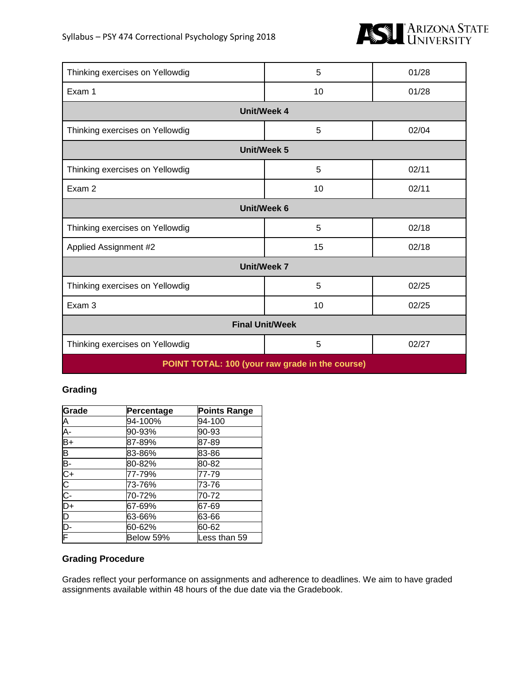

| Thinking exercises on Yellowdig                 | 5  | 01/28 |  |  |
|-------------------------------------------------|----|-------|--|--|
| Exam 1                                          | 10 | 01/28 |  |  |
| <b>Unit/Week 4</b>                              |    |       |  |  |
| Thinking exercises on Yellowdig                 | 5  | 02/04 |  |  |
| <b>Unit/Week 5</b>                              |    |       |  |  |
| Thinking exercises on Yellowdig                 | 5  | 02/11 |  |  |
| Exam 2                                          | 10 | 02/11 |  |  |
| <b>Unit/Week 6</b>                              |    |       |  |  |
| Thinking exercises on Yellowdig                 | 5  | 02/18 |  |  |
| Applied Assignment #2                           | 15 | 02/18 |  |  |
| <b>Unit/Week 7</b>                              |    |       |  |  |
| Thinking exercises on Yellowdig                 | 5  | 02/25 |  |  |
| Exam 3                                          | 10 | 02/25 |  |  |
| <b>Final Unit/Week</b>                          |    |       |  |  |
| 5<br>02/27<br>Thinking exercises on Yellowdig   |    |       |  |  |
| POINT TOTAL: 100 (your raw grade in the course) |    |       |  |  |

## **Grading**

| Grade                   | Percentage | <b>Points Range</b> |
|-------------------------|------------|---------------------|
| A<br>A-<br>B+           | 94-100%    | 94-100              |
|                         | 90-93%     | 90-93               |
|                         | 87-89%     | 87-89               |
| $\overline{\mathsf{B}}$ | 83-86%     | 83-86               |
| $\overline{B}$          | 80-82%     | 80-82               |
| $C+$                    | 77-79%     | 77-79               |
|                         | 73-76%     | 73-76               |
| $\frac{1}{10}$          | 70-72%     | 70-72               |
| $\overline{D+}$         | 67-69%     | 67-69               |
| $\overline{\mathsf{D}}$ | 63-66%     | 63-66               |
| D-                      | 60-62%     | 60-62               |
| F                       | Below 59%  | Less than 59        |

#### **Grading Procedure**

Grades reflect your performance on assignments and adherence to deadlines. We aim to have graded assignments available within 48 hours of the due date via the Gradebook.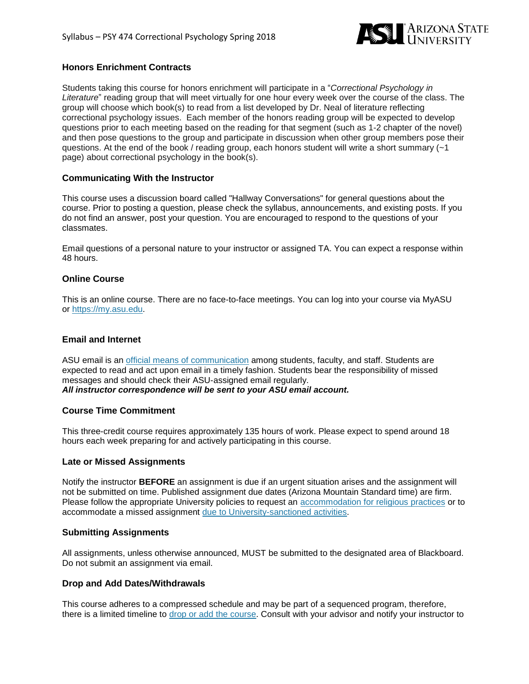

#### **Honors Enrichment Contracts**

Students taking this course for honors enrichment will participate in a "*Correctional Psychology in Literature*" reading group that will meet virtually for one hour every week over the course of the class. The group will choose which book(s) to read from a list developed by Dr. Neal of literature reflecting correctional psychology issues. Each member of the honors reading group will be expected to develop questions prior to each meeting based on the reading for that segment (such as 1-2 chapter of the novel) and then pose questions to the group and participate in discussion when other group members pose their questions. At the end of the book / reading group, each honors student will write a short summary  $(-1)$ page) about correctional psychology in the book(s).

#### **Communicating With the Instructor**

This course uses a discussion board called "Hallway Conversations" for general questions about the course. Prior to posting a question, please check the syllabus, announcements, and existing posts. If you do not find an answer, post your question. You are encouraged to respond to the questions of your classmates.

Email questions of a personal nature to your instructor or assigned TA. You can expect a response within 48 hours.

#### **Online Course**

This is an online course. There are no face-to-face meetings. You can log into your course via MyASU or [https://my.asu.edu.](http://ecollege.asu.edu/)

#### **Email and Internet**

ASU email is an official means of [communication](http://www.asu.edu/aad/manuals/ssm/ssm107-03.html) among students, faculty, and staff. Students are expected to read and act upon email in a timely fashion. Students bear the responsibility of missed messages and should check their ASU-assigned email regularly. *All instructor correspondence will be sent to your ASU email account.*

#### **Course Time Commitment**

This three-credit course requires approximately 135 hours of work. Please expect to spend around 18 hours each week preparing for and actively participating in this course.

#### **Late or Missed Assignments**

Notify the instructor **BEFORE** an assignment is due if an urgent situation arises and the assignment will not be submitted on time. Published assignment due dates (Arizona Mountain Standard time) are firm. Please follow the appropriate University policies to request an [accommodation](http://www.asu.edu/aad/manuals/acd/acd304-04.html) for religious practices or to accommodate a missed assignment due to [University-sanctioned](http://www.asu.edu/aad/manuals/acd/acd304-02.html) activities.

#### **Submitting Assignments**

All assignments, unless otherwise announced, MUST be submitted to the designated area of Blackboard. Do not submit an assignment via email.

#### **Drop and Add Dates/Withdrawals**

This course adheres to a compressed schedule and may be part of a sequenced program, therefore, there is a limited timeline to drop or add the [course.](https://students.asu.edu/academic-calendar) Consult with your advisor and notify your instructor to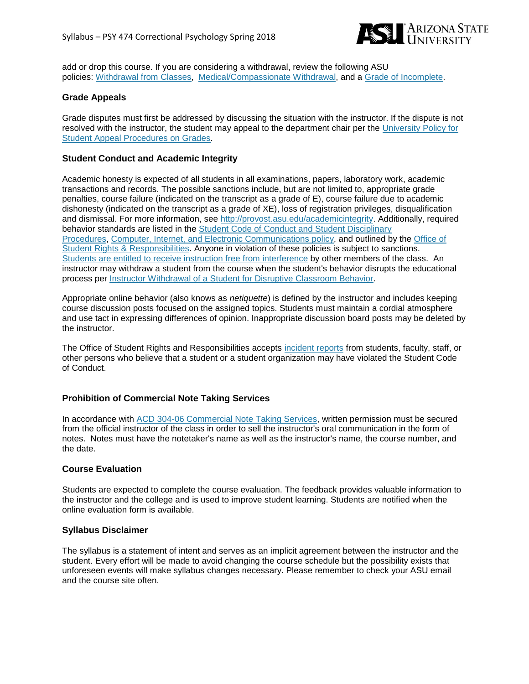

add or drop this course. If you are considering a withdrawal, review the following ASU policies: [Withdrawal](http://www.asu.edu/aad/manuals/ssm/ssm201-08.html) from Classes, [Medical/Compassionate](http://www.asu.edu/aad/manuals/ssm/ssm201-09.html) Withdrawal, and a Grade of [Incomplete.](http://www.asu.edu/aad/manuals/ssm/ssm203-09.html)

#### **Grade Appeals**

Grade disputes must first be addressed by discussing the situation with the instructor. If the dispute is not resolved with the instructor, the student may appeal to the department chair per the [University](https://catalog.asu.edu/appeal) Policy for Student Appeal [Procedures](https://catalog.asu.edu/appeal) on Grades.

#### **Student Conduct and Academic Integrity**

Academic honesty is expected of all students in all examinations, papers, laboratory work, academic transactions and records. The possible sanctions include, but are not limited to, appropriate grade penalties, course failure (indicated on the transcript as a grade of E), course failure due to academic dishonesty (indicated on the transcript as a grade of XE), loss of registration privileges, disqualification and dismissal. For more information, see [http://provost.asu.edu/academicintegrity.](http://provost.asu.edu/academicintegrity) Additionally, required behavior standards are listed in the Student Code of Conduct and Student [Disciplinary](http://www.asu.edu/aad/manuals/ssm/ssm104-01.html) [Procedures,](http://www.asu.edu/aad/manuals/ssm/ssm104-01.html) Computer, Internet, and Electronic [Communications](http://www.asu.edu/aad/manuals/acd/acd125.html) policy, and outlined by the [Office](https://students.asu.edu/srr) of Student Rights & [Responsibilities.](https://students.asu.edu/srr) Anyone in violation of these policies is subject to sanctions. Students are entitled to receive instruction free from [interference](http://www.asu.edu/aad/manuals/ssm/ssm104-02.html) by other members of the class. An instructor may withdraw a student from the course when the student's behavior disrupts the educational process per Instructor [Withdrawal](http://www.asu.edu/aad/manuals/usi/usi201-10.html) of a Student for Disruptive Classroom Behavior.

Appropriate online behavior (also knows as *netiquette*) is defined by the instructor and includes keeping course discussion posts focused on the assigned topics. Students must maintain a cordial atmosphere and use tact in expressing differences of opinion. Inappropriate discussion board posts may be deleted by the instructor.

The Office of Student Rights and Responsibilities accepts [incident](https://students.asu.edu/srr/report) reports from students, faculty, staff, or other persons who believe that a student or a student organization may have violated the Student Code of Conduct.

#### **Prohibition of Commercial Note Taking Services**

In accordance with ACD 304-06 [Commercial](http://www.asu.edu/aad/manuals/acd/acd304-06.html) Note Taking Services, written permission must be secured from the official instructor of the class in order to sell the instructor's oral communication in the form of notes. Notes must have the notetaker's name as well as the instructor's name, the course number, and the date.

#### **Course Evaluation**

Students are expected to complete the course evaluation. The feedback provides valuable information to the instructor and the college and is used to improve student learning. Students are notified when the online evaluation form is available.

#### **Syllabus Disclaimer**

The syllabus is a statement of intent and serves as an implicit agreement between the instructor and the student. Every effort will be made to avoid changing the course schedule but the possibility exists that unforeseen events will make syllabus changes necessary. Please remember to check your ASU email and the course site often.